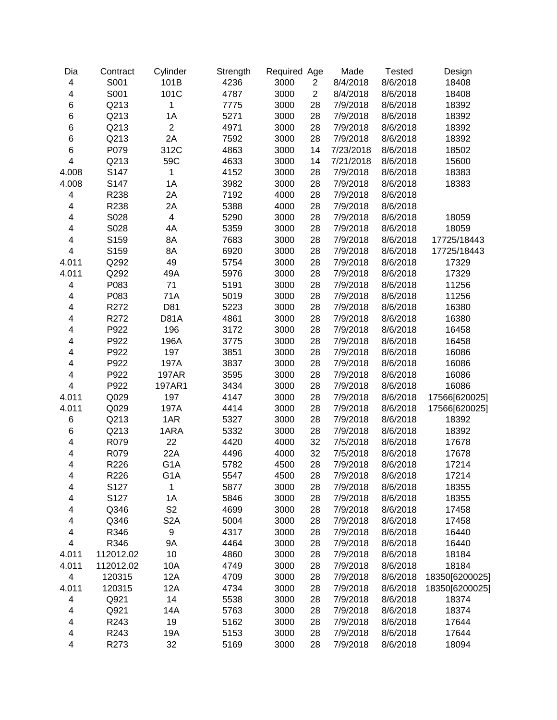| Dia                      | Contract  | Cylinder                 | Strength | Required Age |                | Made      | <b>Tested</b> | Design         |
|--------------------------|-----------|--------------------------|----------|--------------|----------------|-----------|---------------|----------------|
| $\overline{\mathbf{4}}$  | S001      | 101B                     | 4236     | 3000         | $\overline{c}$ | 8/4/2018  | 8/6/2018      | 18408          |
| 4                        | S001      | 101C                     | 4787     | 3000         | $\overline{2}$ | 8/4/2018  | 8/6/2018      | 18408          |
| $\,6$                    | Q213      | 1                        | 7775     | 3000         | 28             | 7/9/2018  | 8/6/2018      | 18392          |
| $\,6$                    | Q213      | 1A                       | 5271     | 3000         | 28             | 7/9/2018  | 8/6/2018      | 18392          |
| $\,6$                    | Q213      | $\overline{c}$           | 4971     | 3000         | 28             | 7/9/2018  | 8/6/2018      | 18392          |
| $\,6$                    | Q213      | 2A                       | 7592     | 3000         | 28             | 7/9/2018  | 8/6/2018      | 18392          |
| $\,6$                    | P079      | 312C                     | 4863     | 3000         | 14             | 7/23/2018 | 8/6/2018      | 18502          |
| 4                        | Q213      | 59C                      | 4633     | 3000         | 14             | 7/21/2018 | 8/6/2018      | 15600          |
| 4.008                    | S147      | 1                        | 4152     | 3000         | 28             | 7/9/2018  | 8/6/2018      | 18383          |
| 4.008                    | S147      | 1A                       | 3982     | 3000         | 28             | 7/9/2018  | 8/6/2018      | 18383          |
| 4                        | R238      | 2A                       | 7192     | 4000         | 28             | 7/9/2018  | 8/6/2018      |                |
| 4                        | R238      | 2A                       | 5388     | 4000         | 28             | 7/9/2018  | 8/6/2018      |                |
| 4                        | S028      | $\overline{\mathcal{A}}$ | 5290     | 3000         | 28             | 7/9/2018  | 8/6/2018      | 18059          |
| $\overline{\mathbf{4}}$  | S028      | 4A                       | 5359     | 3000         | 28             | 7/9/2018  | 8/6/2018      | 18059          |
| 4                        | S159      | 8A                       | 7683     | 3000         | 28             | 7/9/2018  | 8/6/2018      | 17725/18443    |
| $\overline{\mathbf{4}}$  | S159      | 8A                       | 6920     | 3000         | 28             | 7/9/2018  | 8/6/2018      | 17725/18443    |
| 4.011                    | Q292      | 49                       | 5754     | 3000         | 28             | 7/9/2018  | 8/6/2018      | 17329          |
| 4.011                    | Q292      | 49A                      | 5976     | 3000         | 28             | 7/9/2018  | 8/6/2018      | 17329          |
| $\overline{\mathbf{4}}$  | P083      | 71                       | 5191     | 3000         | 28             | 7/9/2018  | 8/6/2018      | 11256          |
| $\overline{\mathbf{4}}$  | P083      | 71A                      | 5019     | 3000         | 28             | 7/9/2018  | 8/6/2018      | 11256          |
| $\overline{\mathbf{4}}$  | R272      | D81                      | 5223     | 3000         | 28             | 7/9/2018  | 8/6/2018      | 16380          |
| $\overline{\mathbf{4}}$  | R272      | <b>D81A</b>              | 4861     | 3000         | 28             | 7/9/2018  | 8/6/2018      | 16380          |
| 4                        | P922      | 196                      | 3172     | 3000         | 28             | 7/9/2018  | 8/6/2018      | 16458          |
| 4                        | P922      | 196A                     | 3775     | 3000         | 28             | 7/9/2018  | 8/6/2018      | 16458          |
| 4                        | P922      | 197                      | 3851     | 3000         | 28             | 7/9/2018  | 8/6/2018      | 16086          |
| 4                        | P922      | 197A                     | 3837     | 3000         | 28             | 7/9/2018  | 8/6/2018      | 16086          |
| 4                        | P922      | <b>197AR</b>             | 3595     | 3000         | 28             | 7/9/2018  | 8/6/2018      | 16086          |
| $\overline{\mathbf{4}}$  | P922      | 197AR1                   | 3434     | 3000         | 28             | 7/9/2018  | 8/6/2018      | 16086          |
| 4.011                    | Q029      | 197                      | 4147     | 3000         | 28             | 7/9/2018  | 8/6/2018      | 17566[620025]  |
| 4.011                    | Q029      | 197A                     | 4414     | 3000         | 28             | 7/9/2018  | 8/6/2018      | 17566[620025]  |
| 6                        | Q213      | 1AR                      | 5327     | 3000         | 28             | 7/9/2018  | 8/6/2018      | 18392          |
| $\,6$                    | Q213      | 1ARA                     | 5332     | 3000         | 28             | 7/9/2018  | 8/6/2018      | 18392          |
| $\overline{\mathbf{4}}$  | R079      | 22                       | 4420     | 4000         | 32             | 7/5/2018  | 8/6/2018      | 17678          |
| $\overline{\mathbf{4}}$  | R079      | 22A                      | 4496     | 4000         | 32             | 7/5/2018  | 8/6/2018      | 17678          |
| 4                        | R226      | G <sub>1</sub> A         | 5782     | 4500         | 28             | 7/9/2018  | 8/6/2018      | 17214          |
| 4                        | R226      | G <sub>1</sub> A         | 5547     | 4500         | 28             | 7/9/2018  | 8/6/2018      | 17214          |
| $\overline{\mathcal{A}}$ | S127      | 1                        | 5877     | 3000         | 28             | 7/9/2018  | 8/6/2018      | 18355          |
| $\overline{\mathbf{4}}$  | S127      | 1A                       | 5846     | 3000         | 28             | 7/9/2018  | 8/6/2018      | 18355          |
| 4                        | Q346      | S <sub>2</sub>           | 4699     | 3000         | 28             | 7/9/2018  | 8/6/2018      | 17458          |
| 4                        | Q346      | S <sub>2</sub> A         | 5004     | 3000         | 28             | 7/9/2018  | 8/6/2018      | 17458          |
| 4                        | R346      | 9                        | 4317     | 3000         | 28             | 7/9/2018  | 8/6/2018      | 16440          |
| 4                        | R346      | <b>9A</b>                | 4464     | 3000         | 28             | 7/9/2018  | 8/6/2018      | 16440          |
| 4.011                    | 112012.02 | 10                       | 4860     | 3000         | 28             | 7/9/2018  | 8/6/2018      | 18184          |
| 4.011                    | 112012.02 | 10A                      | 4749     | 3000         | 28             | 7/9/2018  | 8/6/2018      | 18184          |
| $\overline{\mathbf{4}}$  | 120315    | 12A                      | 4709     | 3000         | 28             | 7/9/2018  | 8/6/2018      | 18350[6200025] |
| 4.011                    | 120315    | 12A                      | 4734     | 3000         | 28             | 7/9/2018  | 8/6/2018      | 18350[6200025] |
| $\overline{\mathbf{4}}$  | Q921      | 14                       | 5538     | 3000         | 28             | 7/9/2018  | 8/6/2018      | 18374          |
| 4                        | Q921      | 14A                      | 5763     | 3000         | 28             | 7/9/2018  | 8/6/2018      | 18374          |
| 4                        | R243      | 19                       | 5162     | 3000         | 28             | 7/9/2018  | 8/6/2018      | 17644          |
| $\overline{\mathbf{4}}$  | R243      | 19A                      | 5153     | 3000         | 28             | 7/9/2018  | 8/6/2018      | 17644          |
| 4                        | R273      | 32                       | 5169     | 3000         | 28             | 7/9/2018  | 8/6/2018      | 18094          |
|                          |           |                          |          |              |                |           |               |                |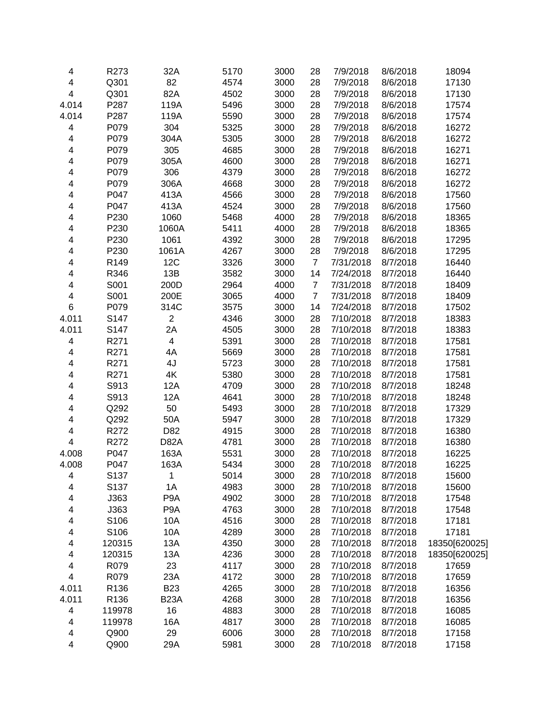| 4                       | R273   | 32A              | 5170 | 3000 | 28             | 7/9/2018  | 8/6/2018 | 18094         |
|-------------------------|--------|------------------|------|------|----------------|-----------|----------|---------------|
| 4                       | Q301   | 82               | 4574 | 3000 | 28             | 7/9/2018  | 8/6/2018 | 17130         |
| $\overline{\mathbf{4}}$ | Q301   | 82A              | 4502 | 3000 | 28             | 7/9/2018  | 8/6/2018 | 17130         |
| 4.014                   | P287   | 119A             | 5496 | 3000 | 28             | 7/9/2018  | 8/6/2018 | 17574         |
| 4.014                   | P287   | 119A             | 5590 | 3000 | 28             | 7/9/2018  | 8/6/2018 | 17574         |
| 4                       | P079   | 304              | 5325 | 3000 | 28             | 7/9/2018  | 8/6/2018 | 16272         |
| 4                       | P079   | 304A             | 5305 | 3000 | 28             | 7/9/2018  | 8/6/2018 | 16272         |
| 4                       | P079   | 305              | 4685 | 3000 | 28             | 7/9/2018  | 8/6/2018 | 16271         |
| 4                       | P079   | 305A             | 4600 | 3000 | 28             | 7/9/2018  | 8/6/2018 | 16271         |
| 4                       | P079   | 306              | 4379 | 3000 | 28             | 7/9/2018  | 8/6/2018 | 16272         |
| 4                       | P079   | 306A             | 4668 | 3000 | 28             | 7/9/2018  | 8/6/2018 | 16272         |
| 4                       | P047   | 413A             | 4566 | 3000 | 28             | 7/9/2018  | 8/6/2018 | 17560         |
| 4                       | P047   | 413A             | 4524 | 3000 | 28             | 7/9/2018  | 8/6/2018 | 17560         |
| 4                       | P230   | 1060             | 5468 | 4000 | 28             | 7/9/2018  | 8/6/2018 | 18365         |
| 4                       | P230   | 1060A            | 5411 | 4000 | 28             | 7/9/2018  | 8/6/2018 | 18365         |
| 4                       | P230   | 1061             | 4392 | 3000 | 28             | 7/9/2018  | 8/6/2018 | 17295         |
| 4                       | P230   | 1061A            | 4267 | 3000 | 28             | 7/9/2018  | 8/6/2018 | 17295         |
| 4                       | R149   | 12C              | 3326 | 3000 | $\overline{7}$ | 7/31/2018 | 8/7/2018 | 16440         |
| 4                       | R346   | 13B              | 3582 | 3000 | 14             | 7/24/2018 | 8/7/2018 | 16440         |
| 4                       | S001   | 200D             | 2964 | 4000 | $\overline{7}$ | 7/31/2018 | 8/7/2018 | 18409         |
| 4                       | S001   | 200E             | 3065 | 4000 | $\overline{7}$ | 7/31/2018 | 8/7/2018 | 18409         |
| 6                       | P079   | 314C             | 3575 | 3000 | 14             | 7/24/2018 | 8/7/2018 | 17502         |
| 4.011                   | S147   | $\overline{c}$   | 4346 | 3000 | 28             | 7/10/2018 | 8/7/2018 | 18383         |
| 4.011                   | S147   | 2A               | 4505 | 3000 | 28             | 7/10/2018 | 8/7/2018 | 18383         |
| 4                       | R271   | 4                | 5391 | 3000 | 28             | 7/10/2018 | 8/7/2018 | 17581         |
| 4                       | R271   | 4A               | 5669 | 3000 | 28             | 7/10/2018 | 8/7/2018 | 17581         |
| 4                       | R271   | 4J               | 5723 | 3000 | 28             | 7/10/2018 | 8/7/2018 | 17581         |
| 4                       | R271   | 4K               | 5380 | 3000 | 28             | 7/10/2018 | 8/7/2018 | 17581         |
| 4                       | S913   | 12A              | 4709 | 3000 | 28             | 7/10/2018 | 8/7/2018 | 18248         |
| 4                       | S913   | 12A              | 4641 | 3000 | 28             | 7/10/2018 | 8/7/2018 | 18248         |
| 4                       | Q292   | 50               | 5493 | 3000 | 28             | 7/10/2018 | 8/7/2018 | 17329         |
| 4                       | Q292   | 50A              | 5947 | 3000 | 28             | 7/10/2018 | 8/7/2018 | 17329         |
| 4                       | R272   | D82              | 4915 | 3000 | 28             | 7/10/2018 | 8/7/2018 | 16380         |
| $\overline{\mathbf{4}}$ | R272   | D82A             | 4781 | 3000 | 28             | 7/10/2018 | 8/7/2018 | 16380         |
| 4.008                   | P047   | 163A             | 5531 | 3000 | 28             | 7/10/2018 | 8/7/2018 | 16225         |
| 4.008                   | P047   | 163A             | 5434 | 3000 | 28             | 7/10/2018 | 8/7/2018 | 16225         |
| 4                       | S137   | 1                | 5014 | 3000 | 28             | 7/10/2018 | 8/7/2018 | 15600         |
| 4                       | S137   | 1A               | 4983 | 3000 | 28             | 7/10/2018 | 8/7/2018 | 15600         |
| 4                       | J363   | P <sub>9</sub> A | 4902 | 3000 | 28             | 7/10/2018 | 8/7/2018 | 17548         |
| 4                       | J363   | P <sub>9</sub> A | 4763 | 3000 | 28             | 7/10/2018 | 8/7/2018 | 17548         |
| 4                       | S106   | 10A              | 4516 | 3000 | 28             | 7/10/2018 | 8/7/2018 | 17181         |
| 4                       | S106   | 10A              | 4289 | 3000 | 28             | 7/10/2018 | 8/7/2018 | 17181         |
| 4                       | 120315 | 13A              | 4350 | 3000 | 28             | 7/10/2018 | 8/7/2018 | 18350[620025] |
| 4                       | 120315 | 13A              | 4236 | 3000 | 28             | 7/10/2018 | 8/7/2018 | 18350[620025] |
| 4                       | R079   | 23               | 4117 | 3000 | 28             | 7/10/2018 | 8/7/2018 | 17659         |
| 4                       | R079   | 23A              | 4172 | 3000 | 28             | 7/10/2018 | 8/7/2018 | 17659         |
| 4.011                   | R136   | <b>B23</b>       | 4265 | 3000 | 28             | 7/10/2018 | 8/7/2018 | 16356         |
| 4.011                   | R136   | <b>B23A</b>      | 4268 | 3000 | 28             | 7/10/2018 | 8/7/2018 | 16356         |
| 4                       | 119978 | 16               | 4883 | 3000 | 28             | 7/10/2018 | 8/7/2018 | 16085         |
| 4                       | 119978 | 16A              | 4817 | 3000 | 28             | 7/10/2018 | 8/7/2018 | 16085         |
| 4                       | Q900   | 29               | 6006 | 3000 | 28             | 7/10/2018 | 8/7/2018 | 17158         |
| 4                       | Q900   | 29A              | 5981 | 3000 | 28             | 7/10/2018 | 8/7/2018 | 17158         |
|                         |        |                  |      |      |                |           |          |               |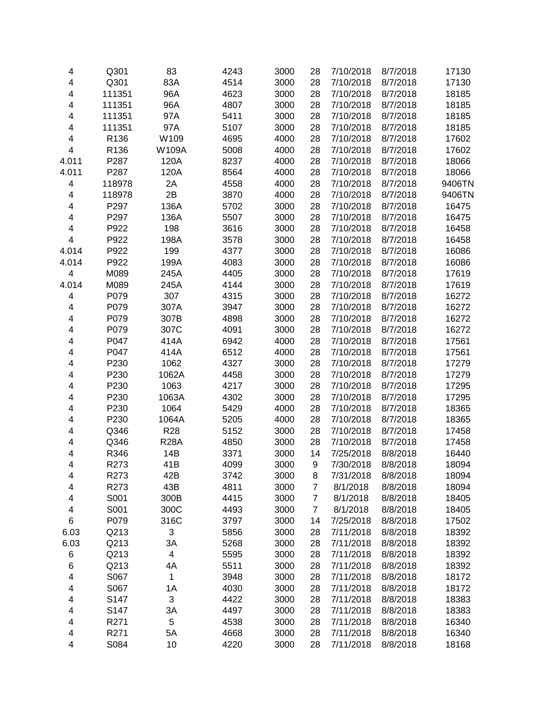| 4                       | Q301   | 83          | 4243 | 3000 | 28             | 7/10/2018 | 8/7/2018 | 17130  |
|-------------------------|--------|-------------|------|------|----------------|-----------|----------|--------|
| 4                       | Q301   | 83A         | 4514 | 3000 | 28             | 7/10/2018 | 8/7/2018 | 17130  |
| $\overline{\mathbf{4}}$ | 111351 | 96A         | 4623 | 3000 | 28             | 7/10/2018 | 8/7/2018 | 18185  |
| 4                       | 111351 | 96A         | 4807 | 3000 | 28             | 7/10/2018 | 8/7/2018 | 18185  |
| 4                       | 111351 | 97A         | 5411 | 3000 | 28             | 7/10/2018 | 8/7/2018 | 18185  |
| 4                       | 111351 | 97A         | 5107 | 3000 | 28             | 7/10/2018 | 8/7/2018 | 18185  |
| $\overline{\mathbf{4}}$ | R136   | W109        | 4695 | 4000 | 28             | 7/10/2018 | 8/7/2018 | 17602  |
| $\overline{\mathbf{4}}$ | R136   | W109A       | 5008 | 4000 | 28             | 7/10/2018 | 8/7/2018 | 17602  |
| 4.011                   | P287   | 120A        | 8237 | 4000 | 28             | 7/10/2018 | 8/7/2018 | 18066  |
| 4.011                   | P287   | 120A        | 8564 | 4000 | 28             | 7/10/2018 | 8/7/2018 | 18066  |
| $\overline{\mathbf{4}}$ | 118978 | 2A          | 4558 | 4000 | 28             | 7/10/2018 | 8/7/2018 | 9406TN |
| 4                       | 118978 | 2B          | 3870 | 4000 | 28             | 7/10/2018 | 8/7/2018 | 9406TN |
| $\overline{\mathbf{4}}$ | P297   | 136A        | 5702 | 3000 | 28             | 7/10/2018 | 8/7/2018 | 16475  |
| 4                       | P297   | 136A        | 5507 | 3000 | 28             | 7/10/2018 | 8/7/2018 | 16475  |
| 4                       | P922   | 198         | 3616 | 3000 | 28             | 7/10/2018 | 8/7/2018 | 16458  |
| $\overline{\mathbf{4}}$ | P922   | 198A        | 3578 | 3000 | 28             | 7/10/2018 | 8/7/2018 | 16458  |
| 4.014                   | P922   | 199         | 4377 | 3000 | 28             | 7/10/2018 | 8/7/2018 | 16086  |
| 4.014                   | P922   | 199A        | 4083 | 3000 | 28             | 7/10/2018 | 8/7/2018 | 16086  |
| $\overline{\mathbf{4}}$ | M089   | 245A        | 4405 | 3000 | 28             | 7/10/2018 | 8/7/2018 | 17619  |
| 4.014                   | M089   | 245A        | 4144 | 3000 | 28             | 7/10/2018 | 8/7/2018 | 17619  |
| 4                       | P079   | 307         | 4315 | 3000 | 28             | 7/10/2018 | 8/7/2018 | 16272  |
| 4                       | P079   | 307A        | 3947 | 3000 | 28             | 7/10/2018 | 8/7/2018 | 16272  |
| 4                       | P079   | 307B        | 4898 | 3000 | 28             | 7/10/2018 | 8/7/2018 | 16272  |
| 4                       | P079   | 307C        | 4091 | 3000 | 28             | 7/10/2018 | 8/7/2018 | 16272  |
| 4                       | P047   | 414A        | 6942 | 4000 | 28             | 7/10/2018 | 8/7/2018 | 17561  |
| 4                       | P047   | 414A        | 6512 | 4000 | 28             | 7/10/2018 | 8/7/2018 | 17561  |
| 4                       | P230   | 1062        | 4327 | 3000 | 28             | 7/10/2018 | 8/7/2018 | 17279  |
| 4                       | P230   | 1062A       | 4458 | 3000 | 28             | 7/10/2018 | 8/7/2018 | 17279  |
| 4                       | P230   | 1063        | 4217 | 3000 | 28             | 7/10/2018 | 8/7/2018 | 17295  |
| 4                       | P230   | 1063A       | 4302 | 3000 | 28             | 7/10/2018 | 8/7/2018 | 17295  |
| 4                       | P230   | 1064        | 5429 | 4000 | 28             | 7/10/2018 | 8/7/2018 | 18365  |
| $\overline{\mathbf{4}}$ | P230   | 1064A       | 5205 | 4000 | 28             | 7/10/2018 | 8/7/2018 | 18365  |
| 4                       | Q346   | <b>R28</b>  | 5152 | 3000 | 28             | 7/10/2018 | 8/7/2018 | 17458  |
| $\overline{\mathbf{4}}$ | Q346   | <b>R28A</b> | 4850 | 3000 | 28             | 7/10/2018 | 8/7/2018 | 17458  |
| 4                       | R346   | 14B         | 3371 | 3000 | 14             | 7/25/2018 | 8/8/2018 | 16440  |
| $\overline{\mathbf{4}}$ | R273   | 41B         | 4099 | 3000 | 9              | 7/30/2018 | 8/8/2018 | 18094  |
| 4                       | R273   | 42B         | 3742 | 3000 | 8              | 7/31/2018 | 8/8/2018 | 18094  |
| 4                       | R273   | 43B         | 4811 | 3000 | $\overline{7}$ | 8/1/2018  | 8/8/2018 | 18094  |
| 4                       | S001   | 300B        | 4415 | 3000 | $\overline{7}$ | 8/1/2018  | 8/8/2018 | 18405  |
| 4                       | S001   | 300C        | 4493 | 3000 | $\overline{7}$ | 8/1/2018  | 8/8/2018 | 18405  |
| 6                       | P079   | 316C        | 3797 | 3000 | 14             | 7/25/2018 | 8/8/2018 | 17502  |
| 6.03                    | Q213   | 3           | 5856 | 3000 | 28             | 7/11/2018 | 8/8/2018 | 18392  |
| 6.03                    | Q213   | 3A          | 5268 | 3000 | 28             | 7/11/2018 | 8/8/2018 | 18392  |
| 6                       | Q213   | 4           | 5595 | 3000 | 28             | 7/11/2018 | 8/8/2018 | 18392  |
| 6                       | Q213   | 4A          | 5511 | 3000 | 28             | 7/11/2018 | 8/8/2018 | 18392  |
| 4                       | S067   | 1           | 3948 | 3000 | 28             | 7/11/2018 | 8/8/2018 | 18172  |
| 4                       | S067   | 1A          | 4030 | 3000 | 28             | 7/11/2018 | 8/8/2018 | 18172  |
| 4                       | S147   | 3           | 4422 | 3000 | 28             | 7/11/2018 | 8/8/2018 | 18383  |
| 4                       | S147   | 3A          | 4497 | 3000 | 28             | 7/11/2018 | 8/8/2018 | 18383  |
| 4                       | R271   | 5           | 4538 | 3000 | 28             | 7/11/2018 | 8/8/2018 | 16340  |
| $\overline{\mathbf{4}}$ | R271   | 5A          | 4668 | 3000 | 28             | 7/11/2018 | 8/8/2018 | 16340  |
| 4                       | S084   | 10          | 4220 | 3000 | 28             | 7/11/2018 | 8/8/2018 | 18168  |
|                         |        |             |      |      |                |           |          |        |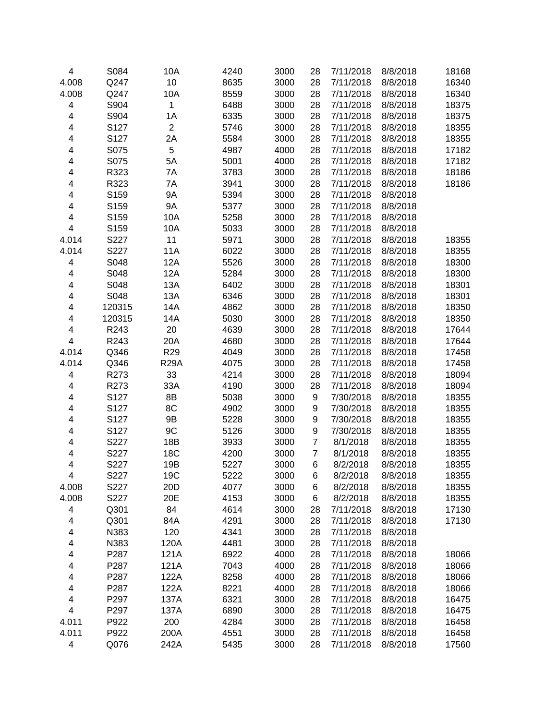| 10<br>4.008<br>Q247<br>8635<br>3000<br>7/11/2018<br>8/8/2018<br>16340<br>28<br>4.008<br>Q247<br>10A<br>8559<br>3000<br>7/11/2018<br>16340<br>28<br>8/8/2018<br>S904<br>$\mathbf{1}$<br>6488<br>3000<br>28<br>7/11/2018<br>18375<br>4<br>8/8/2018<br>$\overline{\mathbf{4}}$<br>S904<br>6335<br>3000<br>28<br>7/11/2018<br>18375<br>1A<br>8/8/2018<br>4<br>S127<br>$\overline{2}$<br>5746<br>3000<br>7/11/2018<br>18355<br>28<br>8/8/2018<br>S127<br>5584<br>3000<br>4<br>2A<br>28<br>7/11/2018<br>8/8/2018<br>18355<br>S075<br>5<br>4987<br>4000<br>28<br>7/11/2018<br>17182<br>4<br>8/8/2018<br>S075<br>5001<br>4000<br>28<br>7/11/2018<br>17182<br>4<br>5A<br>8/8/2018<br>R323<br>7A<br>3783<br>3000<br>28<br>7/11/2018<br>8/8/2018<br>18186<br>4<br>R323<br>3941<br>3000<br>28<br>7/11/2018<br>4<br>7A<br>8/8/2018<br>18186<br>S159<br><b>9A</b><br>5394<br>3000<br>28<br>4<br>7/11/2018<br>8/8/2018<br>4<br>S159<br><b>9A</b><br>5377<br>3000<br>28<br>7/11/2018<br>8/8/2018<br>4<br>S159<br>10A<br>5258<br>3000<br>28<br>7/11/2018<br>8/8/2018<br>$\overline{\mathbf{4}}$<br>S159<br>10A<br>5033<br>3000<br>7/11/2018<br>28<br>8/8/2018<br>4.014<br>S227<br>11<br>5971<br>3000<br>7/11/2018<br>28<br>8/8/2018<br>18355<br>4.014<br>S227<br><b>11A</b><br>6022<br>3000<br>7/11/2018<br>18355<br>28<br>8/8/2018<br>4<br>S048<br>12A<br>5526<br>3000<br>28<br>7/11/2018<br>8/8/2018<br>18300<br>$\overline{\mathbf{4}}$<br>S048<br>12A<br>5284<br>3000<br>7/11/2018<br>8/8/2018<br>18300<br>28<br>4<br>S048<br>6402<br>3000<br>7/11/2018<br>18301<br>13A<br>28<br>8/8/2018<br>S048<br>6346<br>3000<br>7/11/2018<br>18301<br>4<br>13A<br>28<br>8/8/2018<br>14A<br>4862<br>3000<br>7/11/2018<br>18350<br>4<br>120315<br>28<br>8/8/2018<br>5030<br>3000<br>28<br>7/11/2018<br>18350<br>4<br>120315<br>14A<br>8/8/2018<br>R243<br>20<br>4639<br>3000<br>17644<br>4<br>28<br>7/11/2018<br>8/8/2018<br>R243<br>20A<br>4680<br>3000<br>28<br>17644<br>4<br>7/11/2018<br>8/8/2018<br>4.014<br>Q346<br>R <sub>29</sub><br>4049<br>3000<br>28<br>7/11/2018<br>17458<br>8/8/2018<br>4.014<br>Q346<br><b>R29A</b><br>4075<br>3000<br>28<br>7/11/2018<br>8/8/2018<br>17458<br>4<br>R273<br>33<br>4214<br>3000<br>28<br>7/11/2018<br>8/8/2018<br>18094<br>4<br>R273<br>33A<br>4190<br>3000<br>28<br>7/11/2018<br>8/8/2018<br>18094<br>4<br>S127<br>8B<br>5038<br>3000<br>9<br>7/30/2018<br>8/8/2018<br>18355<br>4<br>S127<br>8C<br>4902<br>3000<br>9<br>7/30/2018<br>8/8/2018<br>18355<br>4<br>S127<br>9B<br>5228<br>3000<br>9<br>7/30/2018<br>8/8/2018<br>18355<br>9C<br>4<br>S127<br>5126<br>3000<br>9<br>7/30/2018<br>8/8/2018<br>18355<br>4<br>S227<br>18B<br>3933<br>3000<br>$\overline{7}$<br>8/1/2018<br>8/8/2018<br>18355<br>S227<br>18C<br>4200<br>3000<br>8/1/2018<br>8/8/2018<br>18355<br>4<br>$\overline{7}$<br>4<br>S227<br>19B<br>5227<br>3000<br>6<br>8/2/2018<br>8/8/2018<br>18355<br>19C<br>S227<br>8/2/2018<br>8/8/2018<br>5222<br>3000<br>18355<br>4<br>6<br>S227<br>20D<br>4.008<br>4077<br>3000<br>8/2/2018<br>8/8/2018<br>18355<br>6<br>4.008<br>S227<br>20E<br>4153<br>3000<br>6<br>8/2/2018<br>8/8/2018<br>18355<br>84<br>Q301<br>4614<br>3000<br>28<br>7/11/2018<br>8/8/2018<br>17130<br>4<br>Q301<br>3000<br>28<br>4<br>84A<br>4291<br>7/11/2018<br>8/8/2018<br>17130<br>N383<br>120<br>4341<br>3000<br>28<br>7/11/2018<br>4<br>8/8/2018<br>N383<br>4481<br>3000<br>28<br>7/11/2018<br>4<br>120A<br>8/8/2018<br>6922<br>4000<br>28<br>7/11/2018<br>4<br>P287<br>121A<br>8/8/2018<br>18066<br>7043<br>4000<br>28<br>7/11/2018<br>18066<br>4<br>P287<br>121A<br>8/8/2018<br>28<br>7/11/2018<br>18066<br>4<br>P287<br>122A<br>8258<br>4000<br>8/8/2018<br>8221<br>28<br>7/11/2018<br>4<br>P287<br>122A<br>4000<br>8/8/2018<br>18066<br>6321<br>3000<br>7/11/2018<br>4<br>P297<br>137A<br>28<br>8/8/2018<br>16475<br>$\overline{\mathbf{4}}$<br>P297<br>6890<br>3000<br>7/11/2018<br>137A<br>28<br>8/8/2018<br>16475<br>4.011<br>P922<br>200<br>4284<br>3000<br>7/11/2018<br>8/8/2018<br>28<br>16458<br>4.011<br>200A<br>3000<br>7/11/2018<br>P922<br>4551<br>28<br>8/8/2018<br>16458<br>$\overline{\mathbf{4}}$<br>Q076<br>242A<br>5435<br>3000<br>7/11/2018<br>8/8/2018<br>17560<br>28 | 4 | S084 | 10A | 4240 | 3000 | 28 | 7/11/2018 | 8/8/2018 | 18168 |
|----------------------------------------------------------------------------------------------------------------------------------------------------------------------------------------------------------------------------------------------------------------------------------------------------------------------------------------------------------------------------------------------------------------------------------------------------------------------------------------------------------------------------------------------------------------------------------------------------------------------------------------------------------------------------------------------------------------------------------------------------------------------------------------------------------------------------------------------------------------------------------------------------------------------------------------------------------------------------------------------------------------------------------------------------------------------------------------------------------------------------------------------------------------------------------------------------------------------------------------------------------------------------------------------------------------------------------------------------------------------------------------------------------------------------------------------------------------------------------------------------------------------------------------------------------------------------------------------------------------------------------------------------------------------------------------------------------------------------------------------------------------------------------------------------------------------------------------------------------------------------------------------------------------------------------------------------------------------------------------------------------------------------------------------------------------------------------------------------------------------------------------------------------------------------------------------------------------------------------------------------------------------------------------------------------------------------------------------------------------------------------------------------------------------------------------------------------------------------------------------------------------------------------------------------------------------------------------------------------------------------------------------------------------------------------------------------------------------------------------------------------------------------------------------------------------------------------------------------------------------------------------------------------------------------------------------------------------------------------------------------------------------------------------------------------------------------------------------------------------------------------------------------------------------------------------------------------------------------------------------------------------------------------------------------------------------------------------------------------------------------------------------------------------------------------------------------------------------------------------------------------------------------------------------------------------------------------------------------------------------------------------------------------------------------------------------------------------------------------------------------------------------------------------------------------------------------------------------------------------------------------------------------------------------------------------------------------------------------------------------------------------------------------------------------------------------------------------------------------------------------------------------------------------------------------------------------|---|------|-----|------|------|----|-----------|----------|-------|
|                                                                                                                                                                                                                                                                                                                                                                                                                                                                                                                                                                                                                                                                                                                                                                                                                                                                                                                                                                                                                                                                                                                                                                                                                                                                                                                                                                                                                                                                                                                                                                                                                                                                                                                                                                                                                                                                                                                                                                                                                                                                                                                                                                                                                                                                                                                                                                                                                                                                                                                                                                                                                                                                                                                                                                                                                                                                                                                                                                                                                                                                                                                                                                                                                                                                                                                                                                                                                                                                                                                                                                                                                                                                                                                                                                                                                                                                                                                                                                                                                                                                                                                                                                                                    |   |      |     |      |      |    |           |          |       |
|                                                                                                                                                                                                                                                                                                                                                                                                                                                                                                                                                                                                                                                                                                                                                                                                                                                                                                                                                                                                                                                                                                                                                                                                                                                                                                                                                                                                                                                                                                                                                                                                                                                                                                                                                                                                                                                                                                                                                                                                                                                                                                                                                                                                                                                                                                                                                                                                                                                                                                                                                                                                                                                                                                                                                                                                                                                                                                                                                                                                                                                                                                                                                                                                                                                                                                                                                                                                                                                                                                                                                                                                                                                                                                                                                                                                                                                                                                                                                                                                                                                                                                                                                                                                    |   |      |     |      |      |    |           |          |       |
|                                                                                                                                                                                                                                                                                                                                                                                                                                                                                                                                                                                                                                                                                                                                                                                                                                                                                                                                                                                                                                                                                                                                                                                                                                                                                                                                                                                                                                                                                                                                                                                                                                                                                                                                                                                                                                                                                                                                                                                                                                                                                                                                                                                                                                                                                                                                                                                                                                                                                                                                                                                                                                                                                                                                                                                                                                                                                                                                                                                                                                                                                                                                                                                                                                                                                                                                                                                                                                                                                                                                                                                                                                                                                                                                                                                                                                                                                                                                                                                                                                                                                                                                                                                                    |   |      |     |      |      |    |           |          |       |
|                                                                                                                                                                                                                                                                                                                                                                                                                                                                                                                                                                                                                                                                                                                                                                                                                                                                                                                                                                                                                                                                                                                                                                                                                                                                                                                                                                                                                                                                                                                                                                                                                                                                                                                                                                                                                                                                                                                                                                                                                                                                                                                                                                                                                                                                                                                                                                                                                                                                                                                                                                                                                                                                                                                                                                                                                                                                                                                                                                                                                                                                                                                                                                                                                                                                                                                                                                                                                                                                                                                                                                                                                                                                                                                                                                                                                                                                                                                                                                                                                                                                                                                                                                                                    |   |      |     |      |      |    |           |          |       |
|                                                                                                                                                                                                                                                                                                                                                                                                                                                                                                                                                                                                                                                                                                                                                                                                                                                                                                                                                                                                                                                                                                                                                                                                                                                                                                                                                                                                                                                                                                                                                                                                                                                                                                                                                                                                                                                                                                                                                                                                                                                                                                                                                                                                                                                                                                                                                                                                                                                                                                                                                                                                                                                                                                                                                                                                                                                                                                                                                                                                                                                                                                                                                                                                                                                                                                                                                                                                                                                                                                                                                                                                                                                                                                                                                                                                                                                                                                                                                                                                                                                                                                                                                                                                    |   |      |     |      |      |    |           |          |       |
|                                                                                                                                                                                                                                                                                                                                                                                                                                                                                                                                                                                                                                                                                                                                                                                                                                                                                                                                                                                                                                                                                                                                                                                                                                                                                                                                                                                                                                                                                                                                                                                                                                                                                                                                                                                                                                                                                                                                                                                                                                                                                                                                                                                                                                                                                                                                                                                                                                                                                                                                                                                                                                                                                                                                                                                                                                                                                                                                                                                                                                                                                                                                                                                                                                                                                                                                                                                                                                                                                                                                                                                                                                                                                                                                                                                                                                                                                                                                                                                                                                                                                                                                                                                                    |   |      |     |      |      |    |           |          |       |
|                                                                                                                                                                                                                                                                                                                                                                                                                                                                                                                                                                                                                                                                                                                                                                                                                                                                                                                                                                                                                                                                                                                                                                                                                                                                                                                                                                                                                                                                                                                                                                                                                                                                                                                                                                                                                                                                                                                                                                                                                                                                                                                                                                                                                                                                                                                                                                                                                                                                                                                                                                                                                                                                                                                                                                                                                                                                                                                                                                                                                                                                                                                                                                                                                                                                                                                                                                                                                                                                                                                                                                                                                                                                                                                                                                                                                                                                                                                                                                                                                                                                                                                                                                                                    |   |      |     |      |      |    |           |          |       |
|                                                                                                                                                                                                                                                                                                                                                                                                                                                                                                                                                                                                                                                                                                                                                                                                                                                                                                                                                                                                                                                                                                                                                                                                                                                                                                                                                                                                                                                                                                                                                                                                                                                                                                                                                                                                                                                                                                                                                                                                                                                                                                                                                                                                                                                                                                                                                                                                                                                                                                                                                                                                                                                                                                                                                                                                                                                                                                                                                                                                                                                                                                                                                                                                                                                                                                                                                                                                                                                                                                                                                                                                                                                                                                                                                                                                                                                                                                                                                                                                                                                                                                                                                                                                    |   |      |     |      |      |    |           |          |       |
|                                                                                                                                                                                                                                                                                                                                                                                                                                                                                                                                                                                                                                                                                                                                                                                                                                                                                                                                                                                                                                                                                                                                                                                                                                                                                                                                                                                                                                                                                                                                                                                                                                                                                                                                                                                                                                                                                                                                                                                                                                                                                                                                                                                                                                                                                                                                                                                                                                                                                                                                                                                                                                                                                                                                                                                                                                                                                                                                                                                                                                                                                                                                                                                                                                                                                                                                                                                                                                                                                                                                                                                                                                                                                                                                                                                                                                                                                                                                                                                                                                                                                                                                                                                                    |   |      |     |      |      |    |           |          |       |
|                                                                                                                                                                                                                                                                                                                                                                                                                                                                                                                                                                                                                                                                                                                                                                                                                                                                                                                                                                                                                                                                                                                                                                                                                                                                                                                                                                                                                                                                                                                                                                                                                                                                                                                                                                                                                                                                                                                                                                                                                                                                                                                                                                                                                                                                                                                                                                                                                                                                                                                                                                                                                                                                                                                                                                                                                                                                                                                                                                                                                                                                                                                                                                                                                                                                                                                                                                                                                                                                                                                                                                                                                                                                                                                                                                                                                                                                                                                                                                                                                                                                                                                                                                                                    |   |      |     |      |      |    |           |          |       |
|                                                                                                                                                                                                                                                                                                                                                                                                                                                                                                                                                                                                                                                                                                                                                                                                                                                                                                                                                                                                                                                                                                                                                                                                                                                                                                                                                                                                                                                                                                                                                                                                                                                                                                                                                                                                                                                                                                                                                                                                                                                                                                                                                                                                                                                                                                                                                                                                                                                                                                                                                                                                                                                                                                                                                                                                                                                                                                                                                                                                                                                                                                                                                                                                                                                                                                                                                                                                                                                                                                                                                                                                                                                                                                                                                                                                                                                                                                                                                                                                                                                                                                                                                                                                    |   |      |     |      |      |    |           |          |       |
|                                                                                                                                                                                                                                                                                                                                                                                                                                                                                                                                                                                                                                                                                                                                                                                                                                                                                                                                                                                                                                                                                                                                                                                                                                                                                                                                                                                                                                                                                                                                                                                                                                                                                                                                                                                                                                                                                                                                                                                                                                                                                                                                                                                                                                                                                                                                                                                                                                                                                                                                                                                                                                                                                                                                                                                                                                                                                                                                                                                                                                                                                                                                                                                                                                                                                                                                                                                                                                                                                                                                                                                                                                                                                                                                                                                                                                                                                                                                                                                                                                                                                                                                                                                                    |   |      |     |      |      |    |           |          |       |
|                                                                                                                                                                                                                                                                                                                                                                                                                                                                                                                                                                                                                                                                                                                                                                                                                                                                                                                                                                                                                                                                                                                                                                                                                                                                                                                                                                                                                                                                                                                                                                                                                                                                                                                                                                                                                                                                                                                                                                                                                                                                                                                                                                                                                                                                                                                                                                                                                                                                                                                                                                                                                                                                                                                                                                                                                                                                                                                                                                                                                                                                                                                                                                                                                                                                                                                                                                                                                                                                                                                                                                                                                                                                                                                                                                                                                                                                                                                                                                                                                                                                                                                                                                                                    |   |      |     |      |      |    |           |          |       |
|                                                                                                                                                                                                                                                                                                                                                                                                                                                                                                                                                                                                                                                                                                                                                                                                                                                                                                                                                                                                                                                                                                                                                                                                                                                                                                                                                                                                                                                                                                                                                                                                                                                                                                                                                                                                                                                                                                                                                                                                                                                                                                                                                                                                                                                                                                                                                                                                                                                                                                                                                                                                                                                                                                                                                                                                                                                                                                                                                                                                                                                                                                                                                                                                                                                                                                                                                                                                                                                                                                                                                                                                                                                                                                                                                                                                                                                                                                                                                                                                                                                                                                                                                                                                    |   |      |     |      |      |    |           |          |       |
|                                                                                                                                                                                                                                                                                                                                                                                                                                                                                                                                                                                                                                                                                                                                                                                                                                                                                                                                                                                                                                                                                                                                                                                                                                                                                                                                                                                                                                                                                                                                                                                                                                                                                                                                                                                                                                                                                                                                                                                                                                                                                                                                                                                                                                                                                                                                                                                                                                                                                                                                                                                                                                                                                                                                                                                                                                                                                                                                                                                                                                                                                                                                                                                                                                                                                                                                                                                                                                                                                                                                                                                                                                                                                                                                                                                                                                                                                                                                                                                                                                                                                                                                                                                                    |   |      |     |      |      |    |           |          |       |
|                                                                                                                                                                                                                                                                                                                                                                                                                                                                                                                                                                                                                                                                                                                                                                                                                                                                                                                                                                                                                                                                                                                                                                                                                                                                                                                                                                                                                                                                                                                                                                                                                                                                                                                                                                                                                                                                                                                                                                                                                                                                                                                                                                                                                                                                                                                                                                                                                                                                                                                                                                                                                                                                                                                                                                                                                                                                                                                                                                                                                                                                                                                                                                                                                                                                                                                                                                                                                                                                                                                                                                                                                                                                                                                                                                                                                                                                                                                                                                                                                                                                                                                                                                                                    |   |      |     |      |      |    |           |          |       |
|                                                                                                                                                                                                                                                                                                                                                                                                                                                                                                                                                                                                                                                                                                                                                                                                                                                                                                                                                                                                                                                                                                                                                                                                                                                                                                                                                                                                                                                                                                                                                                                                                                                                                                                                                                                                                                                                                                                                                                                                                                                                                                                                                                                                                                                                                                                                                                                                                                                                                                                                                                                                                                                                                                                                                                                                                                                                                                                                                                                                                                                                                                                                                                                                                                                                                                                                                                                                                                                                                                                                                                                                                                                                                                                                                                                                                                                                                                                                                                                                                                                                                                                                                                                                    |   |      |     |      |      |    |           |          |       |
|                                                                                                                                                                                                                                                                                                                                                                                                                                                                                                                                                                                                                                                                                                                                                                                                                                                                                                                                                                                                                                                                                                                                                                                                                                                                                                                                                                                                                                                                                                                                                                                                                                                                                                                                                                                                                                                                                                                                                                                                                                                                                                                                                                                                                                                                                                                                                                                                                                                                                                                                                                                                                                                                                                                                                                                                                                                                                                                                                                                                                                                                                                                                                                                                                                                                                                                                                                                                                                                                                                                                                                                                                                                                                                                                                                                                                                                                                                                                                                                                                                                                                                                                                                                                    |   |      |     |      |      |    |           |          |       |
|                                                                                                                                                                                                                                                                                                                                                                                                                                                                                                                                                                                                                                                                                                                                                                                                                                                                                                                                                                                                                                                                                                                                                                                                                                                                                                                                                                                                                                                                                                                                                                                                                                                                                                                                                                                                                                                                                                                                                                                                                                                                                                                                                                                                                                                                                                                                                                                                                                                                                                                                                                                                                                                                                                                                                                                                                                                                                                                                                                                                                                                                                                                                                                                                                                                                                                                                                                                                                                                                                                                                                                                                                                                                                                                                                                                                                                                                                                                                                                                                                                                                                                                                                                                                    |   |      |     |      |      |    |           |          |       |
|                                                                                                                                                                                                                                                                                                                                                                                                                                                                                                                                                                                                                                                                                                                                                                                                                                                                                                                                                                                                                                                                                                                                                                                                                                                                                                                                                                                                                                                                                                                                                                                                                                                                                                                                                                                                                                                                                                                                                                                                                                                                                                                                                                                                                                                                                                                                                                                                                                                                                                                                                                                                                                                                                                                                                                                                                                                                                                                                                                                                                                                                                                                                                                                                                                                                                                                                                                                                                                                                                                                                                                                                                                                                                                                                                                                                                                                                                                                                                                                                                                                                                                                                                                                                    |   |      |     |      |      |    |           |          |       |
|                                                                                                                                                                                                                                                                                                                                                                                                                                                                                                                                                                                                                                                                                                                                                                                                                                                                                                                                                                                                                                                                                                                                                                                                                                                                                                                                                                                                                                                                                                                                                                                                                                                                                                                                                                                                                                                                                                                                                                                                                                                                                                                                                                                                                                                                                                                                                                                                                                                                                                                                                                                                                                                                                                                                                                                                                                                                                                                                                                                                                                                                                                                                                                                                                                                                                                                                                                                                                                                                                                                                                                                                                                                                                                                                                                                                                                                                                                                                                                                                                                                                                                                                                                                                    |   |      |     |      |      |    |           |          |       |
|                                                                                                                                                                                                                                                                                                                                                                                                                                                                                                                                                                                                                                                                                                                                                                                                                                                                                                                                                                                                                                                                                                                                                                                                                                                                                                                                                                                                                                                                                                                                                                                                                                                                                                                                                                                                                                                                                                                                                                                                                                                                                                                                                                                                                                                                                                                                                                                                                                                                                                                                                                                                                                                                                                                                                                                                                                                                                                                                                                                                                                                                                                                                                                                                                                                                                                                                                                                                                                                                                                                                                                                                                                                                                                                                                                                                                                                                                                                                                                                                                                                                                                                                                                                                    |   |      |     |      |      |    |           |          |       |
|                                                                                                                                                                                                                                                                                                                                                                                                                                                                                                                                                                                                                                                                                                                                                                                                                                                                                                                                                                                                                                                                                                                                                                                                                                                                                                                                                                                                                                                                                                                                                                                                                                                                                                                                                                                                                                                                                                                                                                                                                                                                                                                                                                                                                                                                                                                                                                                                                                                                                                                                                                                                                                                                                                                                                                                                                                                                                                                                                                                                                                                                                                                                                                                                                                                                                                                                                                                                                                                                                                                                                                                                                                                                                                                                                                                                                                                                                                                                                                                                                                                                                                                                                                                                    |   |      |     |      |      |    |           |          |       |
|                                                                                                                                                                                                                                                                                                                                                                                                                                                                                                                                                                                                                                                                                                                                                                                                                                                                                                                                                                                                                                                                                                                                                                                                                                                                                                                                                                                                                                                                                                                                                                                                                                                                                                                                                                                                                                                                                                                                                                                                                                                                                                                                                                                                                                                                                                                                                                                                                                                                                                                                                                                                                                                                                                                                                                                                                                                                                                                                                                                                                                                                                                                                                                                                                                                                                                                                                                                                                                                                                                                                                                                                                                                                                                                                                                                                                                                                                                                                                                                                                                                                                                                                                                                                    |   |      |     |      |      |    |           |          |       |
|                                                                                                                                                                                                                                                                                                                                                                                                                                                                                                                                                                                                                                                                                                                                                                                                                                                                                                                                                                                                                                                                                                                                                                                                                                                                                                                                                                                                                                                                                                                                                                                                                                                                                                                                                                                                                                                                                                                                                                                                                                                                                                                                                                                                                                                                                                                                                                                                                                                                                                                                                                                                                                                                                                                                                                                                                                                                                                                                                                                                                                                                                                                                                                                                                                                                                                                                                                                                                                                                                                                                                                                                                                                                                                                                                                                                                                                                                                                                                                                                                                                                                                                                                                                                    |   |      |     |      |      |    |           |          |       |
|                                                                                                                                                                                                                                                                                                                                                                                                                                                                                                                                                                                                                                                                                                                                                                                                                                                                                                                                                                                                                                                                                                                                                                                                                                                                                                                                                                                                                                                                                                                                                                                                                                                                                                                                                                                                                                                                                                                                                                                                                                                                                                                                                                                                                                                                                                                                                                                                                                                                                                                                                                                                                                                                                                                                                                                                                                                                                                                                                                                                                                                                                                                                                                                                                                                                                                                                                                                                                                                                                                                                                                                                                                                                                                                                                                                                                                                                                                                                                                                                                                                                                                                                                                                                    |   |      |     |      |      |    |           |          |       |
|                                                                                                                                                                                                                                                                                                                                                                                                                                                                                                                                                                                                                                                                                                                                                                                                                                                                                                                                                                                                                                                                                                                                                                                                                                                                                                                                                                                                                                                                                                                                                                                                                                                                                                                                                                                                                                                                                                                                                                                                                                                                                                                                                                                                                                                                                                                                                                                                                                                                                                                                                                                                                                                                                                                                                                                                                                                                                                                                                                                                                                                                                                                                                                                                                                                                                                                                                                                                                                                                                                                                                                                                                                                                                                                                                                                                                                                                                                                                                                                                                                                                                                                                                                                                    |   |      |     |      |      |    |           |          |       |
|                                                                                                                                                                                                                                                                                                                                                                                                                                                                                                                                                                                                                                                                                                                                                                                                                                                                                                                                                                                                                                                                                                                                                                                                                                                                                                                                                                                                                                                                                                                                                                                                                                                                                                                                                                                                                                                                                                                                                                                                                                                                                                                                                                                                                                                                                                                                                                                                                                                                                                                                                                                                                                                                                                                                                                                                                                                                                                                                                                                                                                                                                                                                                                                                                                                                                                                                                                                                                                                                                                                                                                                                                                                                                                                                                                                                                                                                                                                                                                                                                                                                                                                                                                                                    |   |      |     |      |      |    |           |          |       |
|                                                                                                                                                                                                                                                                                                                                                                                                                                                                                                                                                                                                                                                                                                                                                                                                                                                                                                                                                                                                                                                                                                                                                                                                                                                                                                                                                                                                                                                                                                                                                                                                                                                                                                                                                                                                                                                                                                                                                                                                                                                                                                                                                                                                                                                                                                                                                                                                                                                                                                                                                                                                                                                                                                                                                                                                                                                                                                                                                                                                                                                                                                                                                                                                                                                                                                                                                                                                                                                                                                                                                                                                                                                                                                                                                                                                                                                                                                                                                                                                                                                                                                                                                                                                    |   |      |     |      |      |    |           |          |       |
|                                                                                                                                                                                                                                                                                                                                                                                                                                                                                                                                                                                                                                                                                                                                                                                                                                                                                                                                                                                                                                                                                                                                                                                                                                                                                                                                                                                                                                                                                                                                                                                                                                                                                                                                                                                                                                                                                                                                                                                                                                                                                                                                                                                                                                                                                                                                                                                                                                                                                                                                                                                                                                                                                                                                                                                                                                                                                                                                                                                                                                                                                                                                                                                                                                                                                                                                                                                                                                                                                                                                                                                                                                                                                                                                                                                                                                                                                                                                                                                                                                                                                                                                                                                                    |   |      |     |      |      |    |           |          |       |
|                                                                                                                                                                                                                                                                                                                                                                                                                                                                                                                                                                                                                                                                                                                                                                                                                                                                                                                                                                                                                                                                                                                                                                                                                                                                                                                                                                                                                                                                                                                                                                                                                                                                                                                                                                                                                                                                                                                                                                                                                                                                                                                                                                                                                                                                                                                                                                                                                                                                                                                                                                                                                                                                                                                                                                                                                                                                                                                                                                                                                                                                                                                                                                                                                                                                                                                                                                                                                                                                                                                                                                                                                                                                                                                                                                                                                                                                                                                                                                                                                                                                                                                                                                                                    |   |      |     |      |      |    |           |          |       |
|                                                                                                                                                                                                                                                                                                                                                                                                                                                                                                                                                                                                                                                                                                                                                                                                                                                                                                                                                                                                                                                                                                                                                                                                                                                                                                                                                                                                                                                                                                                                                                                                                                                                                                                                                                                                                                                                                                                                                                                                                                                                                                                                                                                                                                                                                                                                                                                                                                                                                                                                                                                                                                                                                                                                                                                                                                                                                                                                                                                                                                                                                                                                                                                                                                                                                                                                                                                                                                                                                                                                                                                                                                                                                                                                                                                                                                                                                                                                                                                                                                                                                                                                                                                                    |   |      |     |      |      |    |           |          |       |
|                                                                                                                                                                                                                                                                                                                                                                                                                                                                                                                                                                                                                                                                                                                                                                                                                                                                                                                                                                                                                                                                                                                                                                                                                                                                                                                                                                                                                                                                                                                                                                                                                                                                                                                                                                                                                                                                                                                                                                                                                                                                                                                                                                                                                                                                                                                                                                                                                                                                                                                                                                                                                                                                                                                                                                                                                                                                                                                                                                                                                                                                                                                                                                                                                                                                                                                                                                                                                                                                                                                                                                                                                                                                                                                                                                                                                                                                                                                                                                                                                                                                                                                                                                                                    |   |      |     |      |      |    |           |          |       |
|                                                                                                                                                                                                                                                                                                                                                                                                                                                                                                                                                                                                                                                                                                                                                                                                                                                                                                                                                                                                                                                                                                                                                                                                                                                                                                                                                                                                                                                                                                                                                                                                                                                                                                                                                                                                                                                                                                                                                                                                                                                                                                                                                                                                                                                                                                                                                                                                                                                                                                                                                                                                                                                                                                                                                                                                                                                                                                                                                                                                                                                                                                                                                                                                                                                                                                                                                                                                                                                                                                                                                                                                                                                                                                                                                                                                                                                                                                                                                                                                                                                                                                                                                                                                    |   |      |     |      |      |    |           |          |       |
|                                                                                                                                                                                                                                                                                                                                                                                                                                                                                                                                                                                                                                                                                                                                                                                                                                                                                                                                                                                                                                                                                                                                                                                                                                                                                                                                                                                                                                                                                                                                                                                                                                                                                                                                                                                                                                                                                                                                                                                                                                                                                                                                                                                                                                                                                                                                                                                                                                                                                                                                                                                                                                                                                                                                                                                                                                                                                                                                                                                                                                                                                                                                                                                                                                                                                                                                                                                                                                                                                                                                                                                                                                                                                                                                                                                                                                                                                                                                                                                                                                                                                                                                                                                                    |   |      |     |      |      |    |           |          |       |
|                                                                                                                                                                                                                                                                                                                                                                                                                                                                                                                                                                                                                                                                                                                                                                                                                                                                                                                                                                                                                                                                                                                                                                                                                                                                                                                                                                                                                                                                                                                                                                                                                                                                                                                                                                                                                                                                                                                                                                                                                                                                                                                                                                                                                                                                                                                                                                                                                                                                                                                                                                                                                                                                                                                                                                                                                                                                                                                                                                                                                                                                                                                                                                                                                                                                                                                                                                                                                                                                                                                                                                                                                                                                                                                                                                                                                                                                                                                                                                                                                                                                                                                                                                                                    |   |      |     |      |      |    |           |          |       |
|                                                                                                                                                                                                                                                                                                                                                                                                                                                                                                                                                                                                                                                                                                                                                                                                                                                                                                                                                                                                                                                                                                                                                                                                                                                                                                                                                                                                                                                                                                                                                                                                                                                                                                                                                                                                                                                                                                                                                                                                                                                                                                                                                                                                                                                                                                                                                                                                                                                                                                                                                                                                                                                                                                                                                                                                                                                                                                                                                                                                                                                                                                                                                                                                                                                                                                                                                                                                                                                                                                                                                                                                                                                                                                                                                                                                                                                                                                                                                                                                                                                                                                                                                                                                    |   |      |     |      |      |    |           |          |       |
|                                                                                                                                                                                                                                                                                                                                                                                                                                                                                                                                                                                                                                                                                                                                                                                                                                                                                                                                                                                                                                                                                                                                                                                                                                                                                                                                                                                                                                                                                                                                                                                                                                                                                                                                                                                                                                                                                                                                                                                                                                                                                                                                                                                                                                                                                                                                                                                                                                                                                                                                                                                                                                                                                                                                                                                                                                                                                                                                                                                                                                                                                                                                                                                                                                                                                                                                                                                                                                                                                                                                                                                                                                                                                                                                                                                                                                                                                                                                                                                                                                                                                                                                                                                                    |   |      |     |      |      |    |           |          |       |
|                                                                                                                                                                                                                                                                                                                                                                                                                                                                                                                                                                                                                                                                                                                                                                                                                                                                                                                                                                                                                                                                                                                                                                                                                                                                                                                                                                                                                                                                                                                                                                                                                                                                                                                                                                                                                                                                                                                                                                                                                                                                                                                                                                                                                                                                                                                                                                                                                                                                                                                                                                                                                                                                                                                                                                                                                                                                                                                                                                                                                                                                                                                                                                                                                                                                                                                                                                                                                                                                                                                                                                                                                                                                                                                                                                                                                                                                                                                                                                                                                                                                                                                                                                                                    |   |      |     |      |      |    |           |          |       |
|                                                                                                                                                                                                                                                                                                                                                                                                                                                                                                                                                                                                                                                                                                                                                                                                                                                                                                                                                                                                                                                                                                                                                                                                                                                                                                                                                                                                                                                                                                                                                                                                                                                                                                                                                                                                                                                                                                                                                                                                                                                                                                                                                                                                                                                                                                                                                                                                                                                                                                                                                                                                                                                                                                                                                                                                                                                                                                                                                                                                                                                                                                                                                                                                                                                                                                                                                                                                                                                                                                                                                                                                                                                                                                                                                                                                                                                                                                                                                                                                                                                                                                                                                                                                    |   |      |     |      |      |    |           |          |       |
|                                                                                                                                                                                                                                                                                                                                                                                                                                                                                                                                                                                                                                                                                                                                                                                                                                                                                                                                                                                                                                                                                                                                                                                                                                                                                                                                                                                                                                                                                                                                                                                                                                                                                                                                                                                                                                                                                                                                                                                                                                                                                                                                                                                                                                                                                                                                                                                                                                                                                                                                                                                                                                                                                                                                                                                                                                                                                                                                                                                                                                                                                                                                                                                                                                                                                                                                                                                                                                                                                                                                                                                                                                                                                                                                                                                                                                                                                                                                                                                                                                                                                                                                                                                                    |   |      |     |      |      |    |           |          |       |
|                                                                                                                                                                                                                                                                                                                                                                                                                                                                                                                                                                                                                                                                                                                                                                                                                                                                                                                                                                                                                                                                                                                                                                                                                                                                                                                                                                                                                                                                                                                                                                                                                                                                                                                                                                                                                                                                                                                                                                                                                                                                                                                                                                                                                                                                                                                                                                                                                                                                                                                                                                                                                                                                                                                                                                                                                                                                                                                                                                                                                                                                                                                                                                                                                                                                                                                                                                                                                                                                                                                                                                                                                                                                                                                                                                                                                                                                                                                                                                                                                                                                                                                                                                                                    |   |      |     |      |      |    |           |          |       |
|                                                                                                                                                                                                                                                                                                                                                                                                                                                                                                                                                                                                                                                                                                                                                                                                                                                                                                                                                                                                                                                                                                                                                                                                                                                                                                                                                                                                                                                                                                                                                                                                                                                                                                                                                                                                                                                                                                                                                                                                                                                                                                                                                                                                                                                                                                                                                                                                                                                                                                                                                                                                                                                                                                                                                                                                                                                                                                                                                                                                                                                                                                                                                                                                                                                                                                                                                                                                                                                                                                                                                                                                                                                                                                                                                                                                                                                                                                                                                                                                                                                                                                                                                                                                    |   |      |     |      |      |    |           |          |       |
|                                                                                                                                                                                                                                                                                                                                                                                                                                                                                                                                                                                                                                                                                                                                                                                                                                                                                                                                                                                                                                                                                                                                                                                                                                                                                                                                                                                                                                                                                                                                                                                                                                                                                                                                                                                                                                                                                                                                                                                                                                                                                                                                                                                                                                                                                                                                                                                                                                                                                                                                                                                                                                                                                                                                                                                                                                                                                                                                                                                                                                                                                                                                                                                                                                                                                                                                                                                                                                                                                                                                                                                                                                                                                                                                                                                                                                                                                                                                                                                                                                                                                                                                                                                                    |   |      |     |      |      |    |           |          |       |
|                                                                                                                                                                                                                                                                                                                                                                                                                                                                                                                                                                                                                                                                                                                                                                                                                                                                                                                                                                                                                                                                                                                                                                                                                                                                                                                                                                                                                                                                                                                                                                                                                                                                                                                                                                                                                                                                                                                                                                                                                                                                                                                                                                                                                                                                                                                                                                                                                                                                                                                                                                                                                                                                                                                                                                                                                                                                                                                                                                                                                                                                                                                                                                                                                                                                                                                                                                                                                                                                                                                                                                                                                                                                                                                                                                                                                                                                                                                                                                                                                                                                                                                                                                                                    |   |      |     |      |      |    |           |          |       |
|                                                                                                                                                                                                                                                                                                                                                                                                                                                                                                                                                                                                                                                                                                                                                                                                                                                                                                                                                                                                                                                                                                                                                                                                                                                                                                                                                                                                                                                                                                                                                                                                                                                                                                                                                                                                                                                                                                                                                                                                                                                                                                                                                                                                                                                                                                                                                                                                                                                                                                                                                                                                                                                                                                                                                                                                                                                                                                                                                                                                                                                                                                                                                                                                                                                                                                                                                                                                                                                                                                                                                                                                                                                                                                                                                                                                                                                                                                                                                                                                                                                                                                                                                                                                    |   |      |     |      |      |    |           |          |       |
|                                                                                                                                                                                                                                                                                                                                                                                                                                                                                                                                                                                                                                                                                                                                                                                                                                                                                                                                                                                                                                                                                                                                                                                                                                                                                                                                                                                                                                                                                                                                                                                                                                                                                                                                                                                                                                                                                                                                                                                                                                                                                                                                                                                                                                                                                                                                                                                                                                                                                                                                                                                                                                                                                                                                                                                                                                                                                                                                                                                                                                                                                                                                                                                                                                                                                                                                                                                                                                                                                                                                                                                                                                                                                                                                                                                                                                                                                                                                                                                                                                                                                                                                                                                                    |   |      |     |      |      |    |           |          |       |
|                                                                                                                                                                                                                                                                                                                                                                                                                                                                                                                                                                                                                                                                                                                                                                                                                                                                                                                                                                                                                                                                                                                                                                                                                                                                                                                                                                                                                                                                                                                                                                                                                                                                                                                                                                                                                                                                                                                                                                                                                                                                                                                                                                                                                                                                                                                                                                                                                                                                                                                                                                                                                                                                                                                                                                                                                                                                                                                                                                                                                                                                                                                                                                                                                                                                                                                                                                                                                                                                                                                                                                                                                                                                                                                                                                                                                                                                                                                                                                                                                                                                                                                                                                                                    |   |      |     |      |      |    |           |          |       |
|                                                                                                                                                                                                                                                                                                                                                                                                                                                                                                                                                                                                                                                                                                                                                                                                                                                                                                                                                                                                                                                                                                                                                                                                                                                                                                                                                                                                                                                                                                                                                                                                                                                                                                                                                                                                                                                                                                                                                                                                                                                                                                                                                                                                                                                                                                                                                                                                                                                                                                                                                                                                                                                                                                                                                                                                                                                                                                                                                                                                                                                                                                                                                                                                                                                                                                                                                                                                                                                                                                                                                                                                                                                                                                                                                                                                                                                                                                                                                                                                                                                                                                                                                                                                    |   |      |     |      |      |    |           |          |       |
|                                                                                                                                                                                                                                                                                                                                                                                                                                                                                                                                                                                                                                                                                                                                                                                                                                                                                                                                                                                                                                                                                                                                                                                                                                                                                                                                                                                                                                                                                                                                                                                                                                                                                                                                                                                                                                                                                                                                                                                                                                                                                                                                                                                                                                                                                                                                                                                                                                                                                                                                                                                                                                                                                                                                                                                                                                                                                                                                                                                                                                                                                                                                                                                                                                                                                                                                                                                                                                                                                                                                                                                                                                                                                                                                                                                                                                                                                                                                                                                                                                                                                                                                                                                                    |   |      |     |      |      |    |           |          |       |
|                                                                                                                                                                                                                                                                                                                                                                                                                                                                                                                                                                                                                                                                                                                                                                                                                                                                                                                                                                                                                                                                                                                                                                                                                                                                                                                                                                                                                                                                                                                                                                                                                                                                                                                                                                                                                                                                                                                                                                                                                                                                                                                                                                                                                                                                                                                                                                                                                                                                                                                                                                                                                                                                                                                                                                                                                                                                                                                                                                                                                                                                                                                                                                                                                                                                                                                                                                                                                                                                                                                                                                                                                                                                                                                                                                                                                                                                                                                                                                                                                                                                                                                                                                                                    |   |      |     |      |      |    |           |          |       |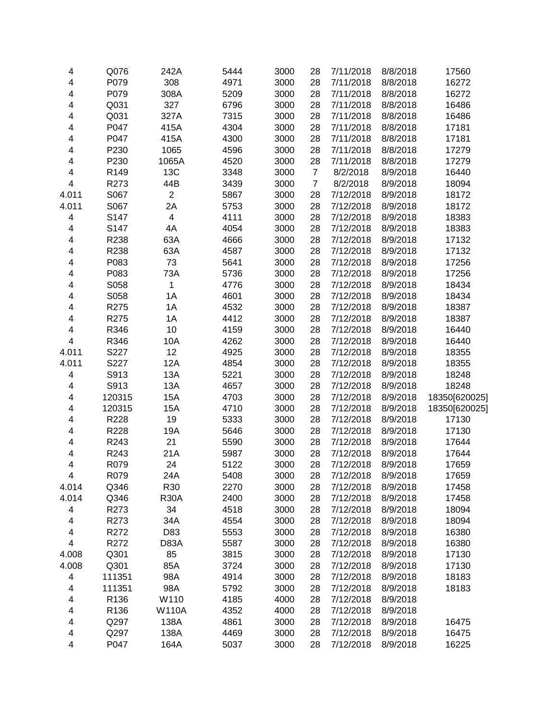| 4                       | Q076   | 242A                    | 5444 | 3000 | 28             | 7/11/2018 | 8/8/2018 | 17560         |
|-------------------------|--------|-------------------------|------|------|----------------|-----------|----------|---------------|
| 4                       | P079   | 308                     | 4971 | 3000 | 28             | 7/11/2018 | 8/8/2018 | 16272         |
| 4                       | P079   | 308A                    | 5209 | 3000 | 28             | 7/11/2018 | 8/8/2018 | 16272         |
| 4                       | Q031   | 327                     | 6796 | 3000 | 28             | 7/11/2018 | 8/8/2018 | 16486         |
| 4                       | Q031   | 327A                    | 7315 | 3000 | 28             | 7/11/2018 | 8/8/2018 | 16486         |
| 4                       | P047   | 415A                    | 4304 | 3000 | 28             | 7/11/2018 | 8/8/2018 | 17181         |
| 4                       | P047   | 415A                    | 4300 | 3000 | 28             | 7/11/2018 | 8/8/2018 | 17181         |
| 4                       | P230   | 1065                    | 4596 | 3000 | 28             | 7/11/2018 | 8/8/2018 | 17279         |
| 4                       | P230   | 1065A                   | 4520 | 3000 | 28             | 7/11/2018 | 8/8/2018 | 17279         |
| 4                       | R149   | 13C                     | 3348 | 3000 | $\overline{7}$ | 8/2/2018  | 8/9/2018 | 16440         |
| $\overline{4}$          | R273   | 44B                     | 3439 | 3000 | $\overline{7}$ | 8/2/2018  | 8/9/2018 | 18094         |
| 4.011                   | S067   | $\overline{2}$          | 5867 | 3000 | 28             | 7/12/2018 | 8/9/2018 | 18172         |
| 4.011                   | S067   | 2A                      | 5753 | 3000 | 28             | 7/12/2018 | 8/9/2018 | 18172         |
| $\overline{\mathbf{4}}$ | S147   | $\overline{\mathbf{4}}$ | 4111 | 3000 | 28             | 7/12/2018 | 8/9/2018 | 18383         |
| $\overline{\mathbf{4}}$ | S147   | 4A                      | 4054 | 3000 | 28             | 7/12/2018 | 8/9/2018 | 18383         |
| $\overline{\mathbf{4}}$ | R238   | 63A                     | 4666 | 3000 | 28             | 7/12/2018 | 8/9/2018 | 17132         |
| $\overline{\mathbf{4}}$ | R238   | 63A                     | 4587 | 3000 | 28             | 7/12/2018 | 8/9/2018 | 17132         |
| $\overline{\mathbf{4}}$ | P083   | 73                      | 5641 | 3000 | 28             | 7/12/2018 | 8/9/2018 | 17256         |
| 4                       | P083   | 73A                     | 5736 | 3000 | 28             | 7/12/2018 | 8/9/2018 | 17256         |
| 4                       | S058   | $\mathbf 1$             | 4776 | 3000 | 28             | 7/12/2018 | 8/9/2018 | 18434         |
| 4                       | S058   | 1A                      | 4601 | 3000 | 28             | 7/12/2018 | 8/9/2018 | 18434         |
| 4                       | R275   | 1A                      | 4532 | 3000 | 28             | 7/12/2018 | 8/9/2018 | 18387         |
| 4                       | R275   | 1A                      | 4412 | 3000 | 28             | 7/12/2018 | 8/9/2018 | 18387         |
| 4                       | R346   | 10                      | 4159 | 3000 | 28             | 7/12/2018 | 8/9/2018 | 16440         |
| 4                       | R346   | 10A                     | 4262 | 3000 | 28             | 7/12/2018 | 8/9/2018 | 16440         |
| 4.011                   | S227   | 12                      | 4925 | 3000 | 28             | 7/12/2018 | 8/9/2018 | 18355         |
| 4.011                   | S227   | <b>12A</b>              | 4854 | 3000 | 28             | 7/12/2018 | 8/9/2018 | 18355         |
| $\overline{\mathbf{4}}$ | S913   | 13A                     | 5221 | 3000 | 28             | 7/12/2018 | 8/9/2018 | 18248         |
| 4                       | S913   | 13A                     | 4657 | 3000 | 28             | 7/12/2018 | 8/9/2018 | 18248         |
| $\overline{\mathbf{4}}$ | 120315 | 15A                     | 4703 | 3000 | 28             | 7/12/2018 | 8/9/2018 | 18350[620025] |
| $\overline{\mathbf{4}}$ | 120315 | 15A                     | 4710 | 3000 | 28             | 7/12/2018 | 8/9/2018 | 18350[620025] |
| $\overline{\mathbf{4}}$ | R228   | 19                      | 5333 | 3000 | 28             | 7/12/2018 | 8/9/2018 | 17130         |
| $\overline{\mathbf{4}}$ | R228   | 19A                     | 5646 | 3000 | 28             | 7/12/2018 | 8/9/2018 | 17130         |
| $\overline{\mathbf{4}}$ | R243   | 21                      | 5590 | 3000 | 28             | 7/12/2018 | 8/9/2018 | 17644         |
| 4                       | R243   | 21A                     | 5987 | 3000 | 28             | 7/12/2018 | 8/9/2018 | 17644         |
| 4                       | R079   | 24                      | 5122 | 3000 | 28             | 7/12/2018 | 8/9/2018 | 17659         |
| 4                       | R079   | 24A                     | 5408 | 3000 | 28             | 7/12/2018 | 8/9/2018 | 17659         |
| 4.014                   | Q346   | R30                     | 2270 | 3000 | 28             | 7/12/2018 | 8/9/2018 | 17458         |
| 4.014                   | Q346   | <b>R30A</b>             | 2400 | 3000 | 28             | 7/12/2018 | 8/9/2018 | 17458         |
| 4                       | R273   | 34                      | 4518 | 3000 | 28             | 7/12/2018 | 8/9/2018 | 18094         |
| 4                       | R273   | 34A                     | 4554 | 3000 | 28             | 7/12/2018 | 8/9/2018 | 18094         |
| 4                       | R272   | D83                     | 5553 | 3000 | 28             | 7/12/2018 | 8/9/2018 | 16380         |
| $\overline{\mathbf{4}}$ | R272   | D83A                    | 5587 | 3000 | 28             | 7/12/2018 | 8/9/2018 | 16380         |
| 4.008                   | Q301   | 85                      | 3815 | 3000 | 28             | 7/12/2018 | 8/9/2018 | 17130         |
| 4.008                   | Q301   | 85A                     | 3724 | 3000 | 28             | 7/12/2018 | 8/9/2018 | 17130         |
| $\overline{\mathbf{4}}$ | 111351 | 98A                     | 4914 | 3000 | 28             | 7/12/2018 | 8/9/2018 | 18183         |
| 4                       | 111351 | 98A                     | 5792 | 3000 | 28             | 7/12/2018 | 8/9/2018 | 18183         |
| 4                       | R136   | W110                    | 4185 | 4000 | 28             | 7/12/2018 | 8/9/2018 |               |
| 4                       | R136   | <b>W110A</b>            | 4352 | 4000 | 28             | 7/12/2018 | 8/9/2018 |               |
| $\overline{\mathbf{4}}$ | Q297   | 138A                    | 4861 | 3000 | 28             | 7/12/2018 | 8/9/2018 | 16475         |
| 4                       | Q297   | 138A                    | 4469 | 3000 | 28             | 7/12/2018 | 8/9/2018 | 16475         |
| 4                       | P047   | 164A                    | 5037 | 3000 | 28             | 7/12/2018 | 8/9/2018 | 16225         |
|                         |        |                         |      |      |                |           |          |               |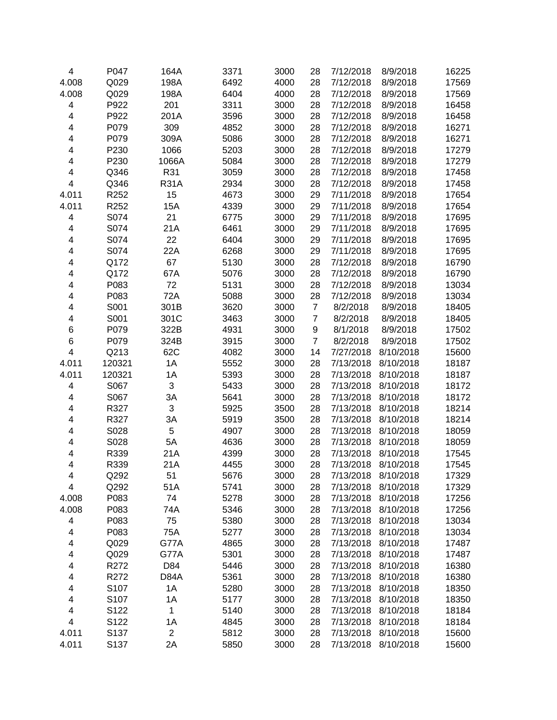| 4                       | P047   | 164A           | 3371 | 3000 | 28               | 7/12/2018 | 8/9/2018  | 16225 |
|-------------------------|--------|----------------|------|------|------------------|-----------|-----------|-------|
| 4.008                   | Q029   | 198A           | 6492 | 4000 | 28               | 7/12/2018 | 8/9/2018  | 17569 |
| 4.008                   | Q029   | 198A           | 6404 | 4000 | 28               | 7/12/2018 | 8/9/2018  | 17569 |
| 4                       | P922   | 201            | 3311 | 3000 | 28               | 7/12/2018 | 8/9/2018  | 16458 |
| $\overline{\mathbf{4}}$ | P922   | 201A           | 3596 | 3000 | 28               | 7/12/2018 | 8/9/2018  | 16458 |
| 4                       | P079   | 309            | 4852 | 3000 | 28               | 7/12/2018 | 8/9/2018  | 16271 |
| 4                       | P079   | 309A           | 5086 | 3000 | 28               | 7/12/2018 | 8/9/2018  | 16271 |
| 4                       | P230   | 1066           | 5203 | 3000 | 28               | 7/12/2018 | 8/9/2018  | 17279 |
| 4                       | P230   | 1066A          | 5084 | 3000 | 28               | 7/12/2018 | 8/9/2018  | 17279 |
| 4                       | Q346   | R31            | 3059 | 3000 | 28               | 7/12/2018 | 8/9/2018  | 17458 |
| $\overline{\mathbf{4}}$ | Q346   | <b>R31A</b>    | 2934 | 3000 | 28               | 7/12/2018 | 8/9/2018  | 17458 |
| 4.011                   | R252   | 15             | 4673 | 3000 | 29               | 7/11/2018 | 8/9/2018  | 17654 |
| 4.011                   | R252   | 15A            | 4339 | 3000 | 29               | 7/11/2018 | 8/9/2018  | 17654 |
| 4                       | S074   | 21             | 6775 | 3000 | 29               | 7/11/2018 | 8/9/2018  | 17695 |
| 4                       | S074   | 21A            | 6461 | 3000 | 29               | 7/11/2018 | 8/9/2018  | 17695 |
| 4                       | S074   | 22             | 6404 | 3000 | 29               | 7/11/2018 | 8/9/2018  | 17695 |
| 4                       | S074   | 22A            | 6268 | 3000 | 29               | 7/11/2018 | 8/9/2018  | 17695 |
| 4                       | Q172   | 67             | 5130 | 3000 | 28               | 7/12/2018 | 8/9/2018  | 16790 |
| 4                       | Q172   | 67A            | 5076 | 3000 | 28               | 7/12/2018 | 8/9/2018  | 16790 |
| 4                       | P083   | 72             | 5131 | 3000 | 28               | 7/12/2018 | 8/9/2018  | 13034 |
| 4                       | P083   | 72A            | 5088 | 3000 | 28               | 7/12/2018 | 8/9/2018  | 13034 |
| 4                       | S001   | 301B           | 3620 | 3000 | $\boldsymbol{7}$ | 8/2/2018  | 8/9/2018  | 18405 |
| 4                       | S001   | 301C           | 3463 | 3000 | $\boldsymbol{7}$ | 8/2/2018  | 8/9/2018  | 18405 |
| 6                       | P079   | 322B           | 4931 | 3000 | 9                | 8/1/2018  | 8/9/2018  | 17502 |
| 6                       | P079   | 324B           | 3915 | 3000 | $\overline{7}$   | 8/2/2018  | 8/9/2018  | 17502 |
| $\overline{\mathbf{4}}$ | Q213   | 62C            | 4082 | 3000 | 14               | 7/27/2018 | 8/10/2018 | 15600 |
| 4.011                   | 120321 | 1A             | 5552 | 3000 | 28               | 7/13/2018 | 8/10/2018 | 18187 |
| 4.011                   | 120321 | 1A             | 5393 | 3000 | 28               | 7/13/2018 | 8/10/2018 | 18187 |
| $\overline{\mathbf{4}}$ | S067   | 3              | 5433 | 3000 | 28               | 7/13/2018 | 8/10/2018 | 18172 |
| 4                       | S067   | 3A             | 5641 | 3000 | 28               | 7/13/2018 | 8/10/2018 | 18172 |
| 4                       | R327   | 3              | 5925 | 3500 | 28               | 7/13/2018 | 8/10/2018 | 18214 |
| 4                       | R327   | 3A             | 5919 | 3500 | 28               | 7/13/2018 | 8/10/2018 | 18214 |
| 4                       | S028   | 5              | 4907 | 3000 | 28               | 7/13/2018 | 8/10/2018 | 18059 |
| 4                       | S028   | 5A             | 4636 | 3000 | 28               | 7/13/2018 | 8/10/2018 | 18059 |
| 4                       | R339   | 21A            | 4399 | 3000 | 28               | 7/13/2018 | 8/10/2018 | 17545 |
| $\overline{\mathbf{4}}$ | R339   | 21A            | 4455 | 3000 | 28               | 7/13/2018 | 8/10/2018 | 17545 |
| 4                       | Q292   | 51             | 5676 | 3000 | 28               | 7/13/2018 | 8/10/2018 | 17329 |
| 4                       | Q292   | 51A            | 5741 | 3000 | 28               | 7/13/2018 | 8/10/2018 | 17329 |
| 4.008                   | P083   | 74             | 5278 | 3000 | 28               | 7/13/2018 | 8/10/2018 | 17256 |
| 4.008                   | P083   | 74A            | 5346 | 3000 | 28               | 7/13/2018 | 8/10/2018 | 17256 |
| 4                       | P083   | 75             | 5380 | 3000 | 28               | 7/13/2018 | 8/10/2018 | 13034 |
| 4                       | P083   | 75A            | 5277 | 3000 | 28               | 7/13/2018 | 8/10/2018 | 13034 |
| 4                       | Q029   | G77A           | 4865 | 3000 | 28               | 7/13/2018 | 8/10/2018 | 17487 |
| 4                       | Q029   | G77A           | 5301 | 3000 | 28               | 7/13/2018 | 8/10/2018 | 17487 |
| 4                       | R272   | D84            | 5446 | 3000 | 28               | 7/13/2018 | 8/10/2018 | 16380 |
| 4                       | R272   | D84A           | 5361 | 3000 | 28               | 7/13/2018 | 8/10/2018 | 16380 |
| 4                       | S107   | 1A             | 5280 | 3000 | 28               | 7/13/2018 | 8/10/2018 | 18350 |
| 4                       | S107   | 1A             | 5177 | 3000 | 28               | 7/13/2018 | 8/10/2018 | 18350 |
| 4                       | S122   | 1              | 5140 | 3000 | 28               | 7/13/2018 | 8/10/2018 | 18184 |
| 4                       | S122   | 1A             | 4845 | 3000 | 28               | 7/13/2018 | 8/10/2018 | 18184 |
| 4.011                   | S137   | $\overline{c}$ | 5812 | 3000 | 28               | 7/13/2018 | 8/10/2018 | 15600 |
| 4.011                   | S137   | 2A             | 5850 | 3000 | 28               | 7/13/2018 | 8/10/2018 | 15600 |
|                         |        |                |      |      |                  |           |           |       |